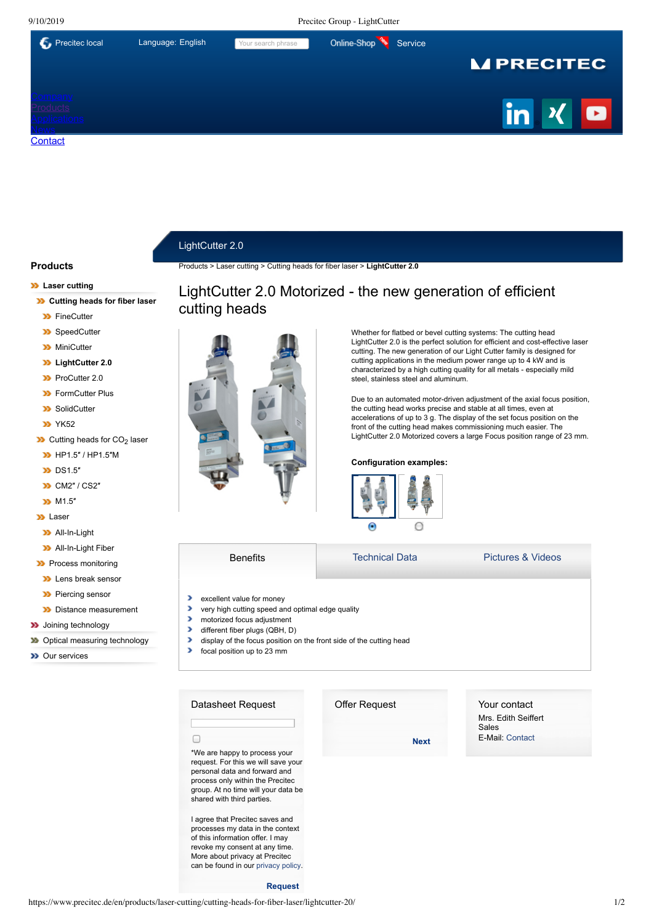9/10/2019 Precitec Group - LightCutter



# LightCutter 2.0

[Products](https://www.precitec.de/en/products/laser-cutting/cutting-heads-for-fiber-laser/finecutter/) > Laser [cutting](https://www.precitec.de/en/products/laser-cutting/cutting-heads-for-fiber-laser/finecutter/) > [Cutting](https://www.precitec.de/en/products/laser-cutting/cutting-heads-for-fiber-laser/finecutter/) heads for fiber laser > **LightCutter 2.0**

## **[Products](https://www.precitec.de/en/products/laser-cutting/cutting-heads-for-fiber-laser/finecutter/)**

### **Laser [cutting](https://www.precitec.de/en/products/laser-cutting/cutting-heads-for-fiber-laser/finecutter/)**

- **[Cutting](https://www.precitec.de/en/products/laser-cutting/cutting-heads-for-fiber-laser/finecutter/) heads for fiber laser**
	- **E** [FineCutter](https://www.precitec.de/en/products/laser-cutting/cutting-heads-for-fiber-laser/finecutter/)
	- **33** [SpeedCutter](https://www.precitec.de/en/products/laser-cutting/cutting-heads-for-fiber-laser/speedcutter/)
	- **33** [MiniCutter](https://www.precitec.de/en/products/laser-cutting/cutting-heads-for-fiber-laser/minicutter/)
	- **[LightCutter](https://www.precitec.de/en/products/laser-cutting/cutting-heads-for-fiber-laser/lightcutter-20/) 2.0**
	- **D** [ProCutter](https://www.precitec.de/en/products/laser-cutting/cutting-heads-for-fiber-laser/procutter-20/) 2.0
	- **33** [FormCutter](https://www.precitec.de/en/products/laser-cutting/cutting-heads-for-fiber-laser/formcutter-plus/) Plus
	- **33** [SolidCutter](https://www.precitec.de/en/products/laser-cutting/cutting-heads-for-fiber-laser/solidcutter/)
	- **XX** [YK52](https://www.precitec.de/en/products/laser-cutting/cutting-heads-for-fiber-laser/yk52/)
- $\rightarrow$  [Cutting](https://www.precitec.de/en/products/laser-cutting/cutting-heads-for-co2-laser/hp15-hp15m/) heads for CO<sub>2</sub> laser
- HP1.5″ / [HP1.5″M](https://www.precitec.de/en/products/laser-cutting/cutting-heads-for-co2-laser/hp15-hp15m/)
- **DS1.5**"
- **EXAMPLE 25 CM2" / CS2"**
- **EXAMPLE** M1.5"
- **X** [Laser](https://www.precitec.de/en/products/laser-cutting/laser/)
- **33** All-In-Light
- **>>** All-In-Light Fiber
- **Process [monitoring](https://www.precitec.de/en/products/laser-cutting/process-monitoring/lens-break-sensor/)**
- **D** Lens break [sensor](https://www.precitec.de/en/products/laser-cutting/process-monitoring/lens-break-sensor/)
- **D** [Piercing](https://www.precitec.de/en/products/laser-cutting/process-monitoring/piercing-sensor/) sensor
- **D** Distance [measurement](https://www.precitec.de/en/products/laser-cutting/process-monitoring/distance-measurement/)
- **>>** Joining [technology](https://www.precitec.de/en/products/joining-technology/laser-welding/)
- **X** Optical measuring [technology](https://www.precitec.de/en/products/optical-measuring-technology/)
- **>>** Our [services](https://www.precitec.de/en/products/service/)



LightCutter 2.0 Motorized - the new generation of efficient cutting heads

> Whether for flatbed or bevel cutting systems: The cutting head LightCutter 2.0 is the perfect solution for efficient and cost-effective laser cutting. The new generation of our Light Cutter family is designed for cutting applications in the medium power range up to 4 kW and is characterized by a high cutting quality for all metals - especially mild steel, stainless steel and aluminum.

> Due to an automated motor-driven adjustment of the axial focus position, the cutting head works precise and stable at all times, even at accelerations of up to 3 g. The display of the set focus position on the front of the cutting head makes commissioning much easier. The LightCutter 2.0 Motorized covers a large Focus position range of 23 mm.

## **Configuration examples:**



[Benefits](https://www.precitec.de/en/products/laser-cutting/cutting-heads-for-fiber-laser/lightcutter-20/#tab1) **[Technical](https://www.precitec.de/en/products/laser-cutting/cutting-heads-for-fiber-laser/lightcutter-20/#tab2) Data** [Pictures](https://www.precitec.de/en/products/laser-cutting/cutting-heads-for-fiber-laser/lightcutter-20/#tab3) & Videos X excellent value for money У very high cutting speed and optimal edge quality х motorized focus adjustment У different fiber plugs (QBH, D) display of the focus position on the front side of the cutting head ъ ь focal position up to 23 mm



process only within the Precitec group. At no time will your data be

shared with third parties.

I agree that Precitec saves and processes my data in the context of this information offer. I may revoke my consent at any time. More about privacy at Precitec can be found in our [privacy](https://www.precitec.de/footernav/datenschutz/) policy.

**Request**